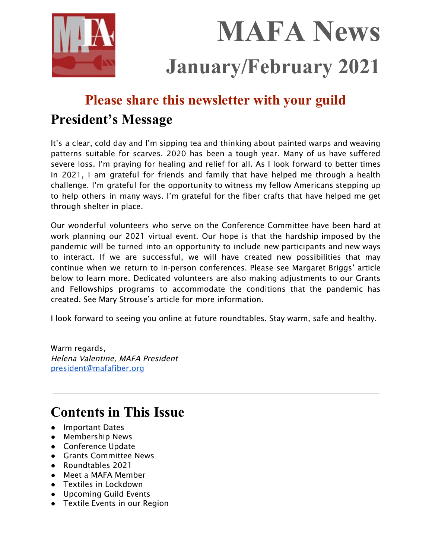

# **MAFA News January/February 2021**

# **Please share this newsletter with your guild**

# **President's Message**

It's a clear, cold day and I'm sipping tea and thinking about painted warps and weaving patterns suitable for scarves. 2020 has been a tough year. Many of us have suffered severe loss. I'm praying for healing and relief for all. As I look forward to better times in 2021, I am grateful for friends and family that have helped me through a health challenge. I'm grateful for the opportunity to witness my fellow Americans stepping up to help others in many ways. I'm grateful for the fiber crafts that have helped me get through shelter in place.

Our wonderful volunteers who serve on the Conference Committee have been hard at work planning our 2021 virtual event. Our hope is that the hardship imposed by the pandemic will be turned into an opportunity to include new participants and new ways to interact. If we are successful, we will have created new possibilities that may continue when we return to in-person conferences. Please see Margaret Briggs' article below to learn more. Dedicated volunteers are also making adjustments to our Grants and Fellowships programs to accommodate the conditions that the pandemic has created. See Mary Strouse's article for more information.

I look forward to seeing you online at future roundtables. Stay warm, safe and healthy.

Warm regards, Helena Valentine, MAFA President [president@mafafiber.org](mailto:president@mafafiber.org)

# **Contents in This Issue**

- Important Dates
- Membership News
- Conference Update
- Grants Committee News
- Roundtables 2021
- Meet a MAFA Member
- Textiles in Lockdown
- Upcoming Guild Events
- Textile Events in our Region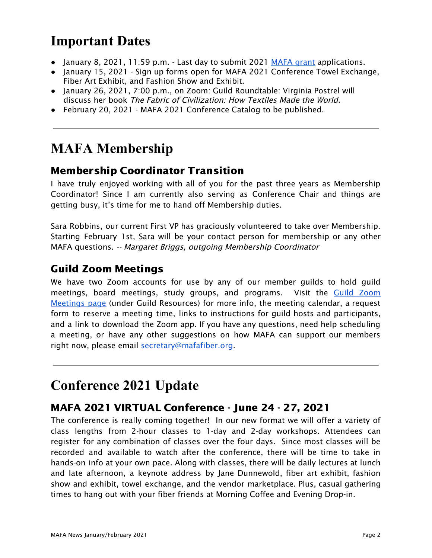# **Important Dates**

- January 8, 2021, 11:59 p.m. Last day to submit 2021 [MAFA](https://mafafiber.org/grants/guild-grants/) grant applications.
- January 15, 2021 Sign up forms open for MAFA 2021 Conference Towel Exchange, Fiber Art Exhibit, and Fashion Show and Exhibit.
- January 26, 2021, 7:00 p.m., on Zoom: Guild Roundtable: Virginia Postrel will discuss her book The Fabric of Civilization: How Textiles Made the World.
- February 20, 2021 MAFA 2021 Conference Catalog to be published.

# **MAFA Membership**

### Membership Coordinator Transition

I have truly enjoyed working with all of you for the past three years as Membership Coordinator! Since I am currently also serving as Conference Chair and things are getting busy, it's time for me to hand off Membership duties.

Sara Robbins, our current First VP has graciously volunteered to take over Membership. Starting February 1st, Sara will be your contact person for membership or any other MAFA questions. -- Margaret Briggs, outgoing Membership Coordinator

### Guild Zoom Meetings

We have two Zoom accounts for use by any of our member guilds to hold guild meetings, board meetings, study groups, and programs. Visit the Guild [Zoom](https://mafafiber.org/guild-resources/guild-zoom-meetings/) [Meetings](https://mafafiber.org/guild-resources/guild-zoom-meetings/) page (under Guild Resources) for more info, the meeting calendar, a request form to reserve a meeting time, links to instructions for guild hosts and participants, and a link to download the Zoom app. If you have any questions, need help scheduling a meeting, or have any other suggestions on how MAFA can support our members right now, please email [secretary@mafafiber.org](mailto:secretary@mafafiber.org).

### **Conference 2021 Update**

### MAFA 2021 VIRTUAL Conference - June 24 - 27, 2021

The conference is really coming together! In our new format we will offer a variety of class lengths from 2-hour classes to 1-day and 2-day workshops. Attendees can register for any combination of classes over the four days. Since most classes will be recorded and available to watch after the conference, there will be time to take in hands-on info at your own pace. Along with classes, there will be daily lectures at lunch and late afternoon, a keynote address by Jane Dunnewold, fiber art exhibit, fashion show and exhibit, towel exchange, and the vendor marketplace. Plus, casual gathering times to hang out with your fiber friends at Morning Coffee and Evening Drop-in.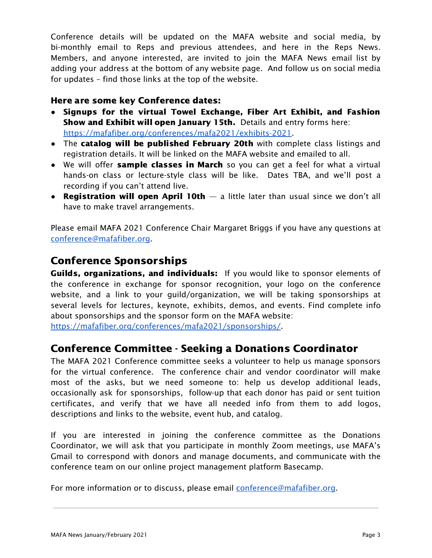Conference details will be updated on the MAFA website and social media, by bi-monthly email to Reps and previous attendees, and here in the Reps News. Members, and anyone interested, are invited to join the MAFA News email list by adding your address at the bottom of any website page. And follow us on social media for updates – find those links at the top of the website.

#### Here are some key Conference dates:

- Signups for the virtual Towel Exchange, Fiber Art Exhibit, and Fashion Show and Exhibit will open January 15th. Details and entry forms here: <https://mafafiber.org/conferences/mafa2021/exhibits-2021>.
- The catalog will be published February 20th with complete class listings and registration details. It will be linked on the MAFA website and emailed to all.
- We will offer sample classes in March so you can get a feel for what a virtual hands-on class or lecture-style class will be like. Dates TBA, and we'll post a recording if you can't attend live.
- Registration will open April 10th  $-$  a little later than usual since we don't all have to make travel arrangements.

Please email MAFA 2021 Conference Chair Margaret Briggs if you have any questions at [conference@mafafiber.org.](mailto:conference@mafafiber.org)

#### Conference Sponsorships

Guilds, organizations, and individuals: If you would like to sponsor elements of the conference in exchange for sponsor recognition, your logo on the conference website, and a link to your guild/organization, we will be taking sponsorships at several levels for lectures, keynote, exhibits, demos, and events. Find complete info about sponsorships and the sponsor form on the MAFA website:

[https://mafafiber.org/conferences/mafa2021/sponsorships/.](https://mafafiber.org/conferences/mafa2021/sponsorships/)

### Conference Committee - Seeking a Donations Coordinator

The MAFA 2021 Conference committee seeks a volunteer to help us manage sponsors for the virtual conference. The conference chair and vendor coordinator will make most of the asks, but we need someone to: help us develop additional leads, occasionally ask for sponsorships, follow-up that each donor has paid or sent tuition certificates, and verify that we have all needed info from them to add logos, descriptions and links to the website, event hub, and catalog.

If you are interested in joining the conference committee as the Donations Coordinator, we will ask that you participate in monthly Zoom meetings, use MAFA's Gmail to correspond with donors and manage documents, and communicate with the conference team on our online project management platform Basecamp.

For more information or to discuss, please email **conference@mafafiber.org**.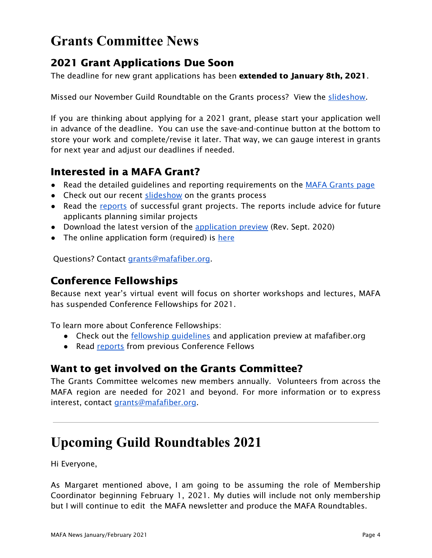# **Grants Committee News**

### 2021 Grant Applications Due Soon

The deadline for new grant applications has been **extended to January 8th, 2021**.

Missed our November Guild Roundtable on the Grants process? View the [slideshow](https://mafafiber.org/wp-content/uploads/Grants/MAFA-Grants-Slides-compressed.pdf).

If you are thinking about applying for a 2021 grant, please start your application well in advance of the deadline. You can use the save-and-continue button at the bottom to store your work and complete/revise it later. That way, we can gauge interest in grants for next year and adjust our deadlines if needed.

### Interested in a MAFA Grant?

- Read the detailed guidelines and reporting requirements on the MAFA [Grants](https://mafafiber.org/grants/guild-grants/) [page](https://mafafiber.org/grants/guild-grants/)
- Check out our recent [slideshow](https://mafafiber.org/wp-content/uploads/Grants/MAFA-Grants-Slides-compressed.pdf) on the grants process
- Read the [reports](https://mafafiber.org/grants/guild-grants/grant-awards/) of successful grant projects. The reports include advice for future applicants planning similar projects
- Download the latest version of the [application](https://mafafiber.org/wp-content/uploads/Forms/MAFA-GRANT-APPLICATION-preview.pdf) preview (Rev. Sept. 2020)
- The online application form (required) is [here](https://mafafiber.org/grants/guild-grants/grant-application/)

Questions? Contact [grants@mafafiber.org.](mailto:grants@mafafiber.org)

### Conference Fellowships

Because next year's virtual event will focus on shorter workshops and lectures, MAFA has suspended Conference Fellowships for 2021.

To learn more about Conference Fellowships:

- Check out the **fellowship quidelines** and application preview at mafafiber.org
- Read [reports](https://mafafiber.org/grants/fellowships/fellowship-awards/) from previous Conference Fellows

### Want to get involved on the Grants Committee?

The Grants Committee welcomes new members annually. Volunteers from across the MAFA region are needed for 2021 and beyond. For more information or to express interest, contact [grants@mafafiber.org](mailto:grants@mafafiber.org).

### **Upcoming Guild Roundtables 2021**

Hi Everyone,

As Margaret mentioned above, I am going to be assuming the role of Membership Coordinator beginning February 1, 2021. My duties will include not only membership but I will continue to edit the MAFA newsletter and produce the MAFA Roundtables.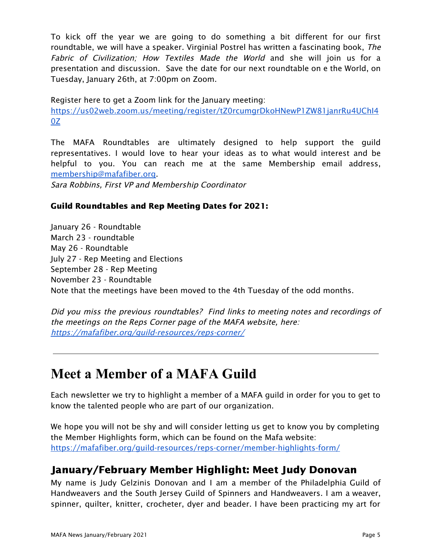To kick off the year we are going to do something a bit different for our first roundtable, we will have a speaker. Virginial Postrel has written a fascinating book, The Fabric of Civilization; How Textiles Made the World and she will join us for a presentation and discussion. Save the date for our next roundtable on e the World, on Tuesday, January 26th, at 7:00pm on Zoom.

Register here to get a Zoom link for the January meeting:

[https://us02web.zoom.us/meeting/register/tZ0rcumgrDkoHNewP1ZW81janrRu4UChI4](https://us02web.zoom.us/meeting/register/tZ0rcumgrDkoHNewP1ZW81janrRu4UChI40Z) [0Z](https://us02web.zoom.us/meeting/register/tZ0rcumgrDkoHNewP1ZW81janrRu4UChI40Z)

The MAFA Roundtables are ultimately designed to help support the guild representatives. I would love to hear your ideas as to what would interest and be helpful to you. You can reach me at the same Membership email address, [membership@mafafiber.org.](mailto:membership@mafafiber.org)

Sara Robbins, First VP and Membership Coordinator

#### Guild Roundtables and Rep Meeting Dates for 2021:

January 26 - Roundtable March 23 - roundtable May 26 - Roundtable July 27 - Rep Meeting and Elections September 28 - Rep Meeting November 23 - Roundtable Note that the meetings have been moved to the 4th Tuesday of the odd months.

Did you miss the previous roundtables? Find links to meeting notes and recordings of the meetings on the Reps Corner page of the MAFA website, here: <https://mafafiber.org/guild-resources/reps-corner/>

# **Meet a Member of a MAFA Guild**

Each newsletter we try to highlight a member of a MAFA guild in order for you to get to know the talented people who are part of our organization.

We hope you will not be shy and will consider letting us get to know you by completing the Member Highlights form, which can be found on the Mafa website: <https://mafafiber.org/guild-resources/reps-corner/member-highlights-form/>

### January/February Member Highlight: Meet Judy Donovan

My name is Judy Gelzinis Donovan and I am a member of the Philadelphia Guild of Handweavers and the South Jersey Guild of Spinners and Handweavers. I am a weaver, spinner, quilter, knitter, crocheter, dyer and beader. I have been practicing my art for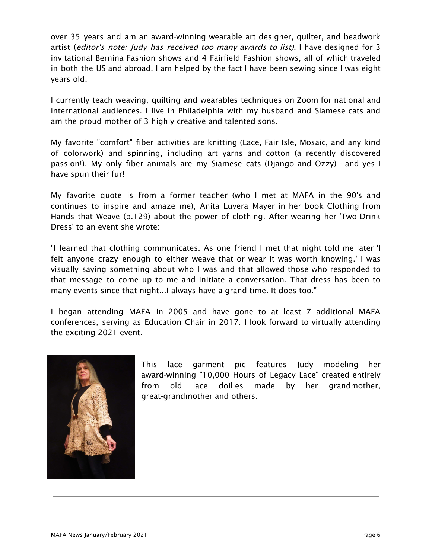over 35 years and am an award-winning wearable art designer, quilter, and beadwork artist (editor's note: Judy has received too many awards to list). I have designed for 3 invitational Bernina Fashion shows and 4 Fairfield Fashion shows, all of which traveled in both the US and abroad. I am helped by the fact I have been sewing since I was eight years old.

I currently teach weaving, quilting and wearables techniques on Zoom for national and international audiences. I live in Philadelphia with my husband and Siamese cats and am the proud mother of 3 highly creative and talented sons.

My favorite "comfort" fiber activities are knitting (Lace, Fair Isle, Mosaic, and any kind of colorwork) and spinning, including art yarns and cotton (a recently discovered passion!). My only fiber animals are my Siamese cats (Django and Ozzy) --and yes I have spun their fur!

My favorite quote is from a former teacher (who I met at MAFA in the 90's and continues to inspire and amaze me), Anita Luvera Mayer in her book Clothing from Hands that Weave (p.129) about the power of clothing. After wearing her 'Two Drink Dress' to an event she wrote:

"I learned that clothing communicates. As one friend I met that night told me later 'I felt anyone crazy enough to either weave that or wear it was worth knowing.' I was visually saying something about who I was and that allowed those who responded to that message to come up to me and initiate a conversation. That dress has been to many events since that night...I always have a grand time. It does too."

I began attending MAFA in 2005 and have gone to at least 7 additional MAFA conferences, serving as Education Chair in 2017. I look forward to virtually attending the exciting 2021 event.



This lace garment pic features Judy modeling her award-winning "10,000 Hours of Legacy Lace" created entirely from old lace doilies made by her grandmother, great-grandmother and others.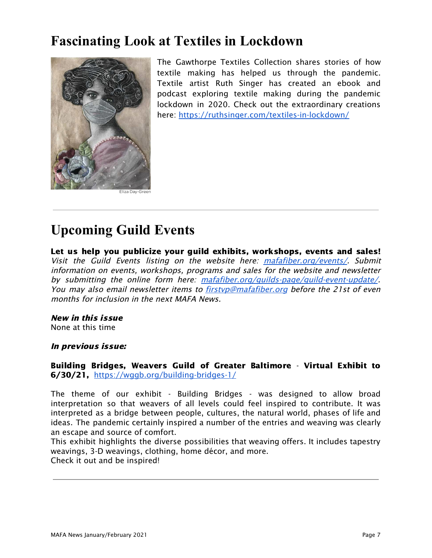## **Fascinating Look at Textiles in Lockdown**



The Gawthorpe Textiles Collection shares stories of how textile making has helped us through the pandemic. Textile artist Ruth Singer has created an ebook and podcast exploring textile making during the pandemic lockdown in 2020. Check out the extraordinary creations here: <https://ruthsinger.com/textiles-in-lockdown/>

# **Upcoming Guild Events**

Let us help you publicize your guild exhibits, workshops, events and sales! Visit the Guild Events listing on the website here: [mafafiber.org/events/](https://mafafiber.org/events/). Submit information on events, workshops, programs and sales for the website and newsletter by submitting the online form here: [mafafiber.org/guilds-page/guild-event-update/](https://mafafiber.org/guilds-page/guild-event-update/). You may also email newsletter items to [firstvp@mafafiber.org](mailto:firstvp@mafafiber.org) before the 21st of even months for inclusion in the next MAFA News.

### New in this issue

None at this time

#### In previous issue:

Building Bridges, Weavers Guild of Greater Baltimore - Virtual Exhibit to 6/30/21, <https://wggb.org/building-bridges-1/>

The theme of our exhibit - Building Bridges - was designed to allow broad interpretation so that weavers of all levels could feel inspired to contribute. It was interpreted as a bridge between people, cultures, the natural world, phases of life and ideas. The pandemic certainly inspired a number of the entries and weaving was clearly an escape and source of comfort.

This exhibit highlights the diverse possibilities that weaving offers. It includes tapestry weavings, 3-D weavings, clothing, home décor, and more. Check it out and be inspired!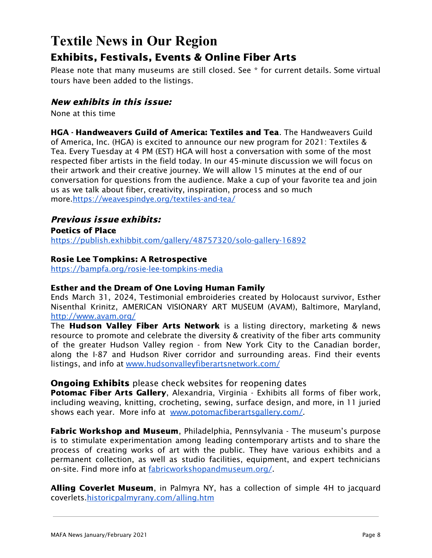## **Textile News in Our Region** Exhibits, Festivals, Events & Online Fiber Arts

Please note that many museums are still closed. See \* for current details. Some virtual tours have been added to the listings.

#### New exhibits in this issue:

None at this time

HGA - Handweavers Guild of America: Textiles and Tea. The Handweavers Guild of America, Inc. (HGA) is excited to announce our new program for 2021: Textiles & Tea. Every Tuesday at 4 PM (EST) HGA will host a conversation with some of the most respected fiber artists in the field today. In our 45-minute discussion we will focus on their artwork and their creative journey. We will allow 15 minutes at the end of our conversation for questions from the audience. Make a cup of your favorite tea and join us as we talk about fiber, creativity, inspiration, process and so much more[.https://weavespindye.org/textiles-and-tea/](https://weavespindye.org/textiles-and-tea/)

#### Previous issue exhibits:

Poetics of Place <https://publish.exhibbit.com/gallery/48757320/solo-gallery-16892>

#### Rosie Lee Tompkins: A Retrospective

<https://bampfa.org/rosie-lee-tompkins-media>

#### Esther and the Dream of One Loving Human Family

Ends March 31, 2024, Testimonial embroideries created by Holocaust survivor, Esther Nisenthal Krinitz, AMERICAN VISIONARY ART MUSEUM (AVAM), Baltimore, Maryland, <http://www.avam.org/>

The **Hudson Valley Fiber Arts Network** is a listing directory, marketing & news resource to promote and celebrate the diversity & creativity of the fiber arts community of the greater Hudson Valley region - from New York City to the Canadian border, along the I-87 and Hudson River corridor and surrounding areas. Find their events listings, and info at [www.hudsonvalleyfiberartsnetwork.com/](http://www.hudsonvalleyfiberartsnetwork.com/)

#### **Ongoing Exhibits** please check websites for reopening dates

Potomac Fiber Arts Gallery, Alexandria, Virginia - Exhibits all forms of fiber work, including weaving, knitting, crocheting, sewing, surface design, and more, in 11 juried shows each year. More info at [www.potomacfiberartsgallery.com/](http://www.potomacfiberartsgallery.com/).

**Fabric Workshop and Museum**, Philadelphia, Pennsylvania - The museum's purpose is to stimulate experimentation among leading contemporary artists and to share the process of creating works of art with the public. They have various exhibits and a permanent collection, as well as studio facilities, equipment, and expert technicians on-site. Find more info at [fabricworkshopandmuseum.org/.](http://fabricworkshopandmuseum.org/)

Alling Coverlet Museum, in Palmyra NY, has a collection of simple 4H to jacquard coverlets[.historicpalmyrany.com/alling.htm](http://historicpalmyrany.com/alling.htm)